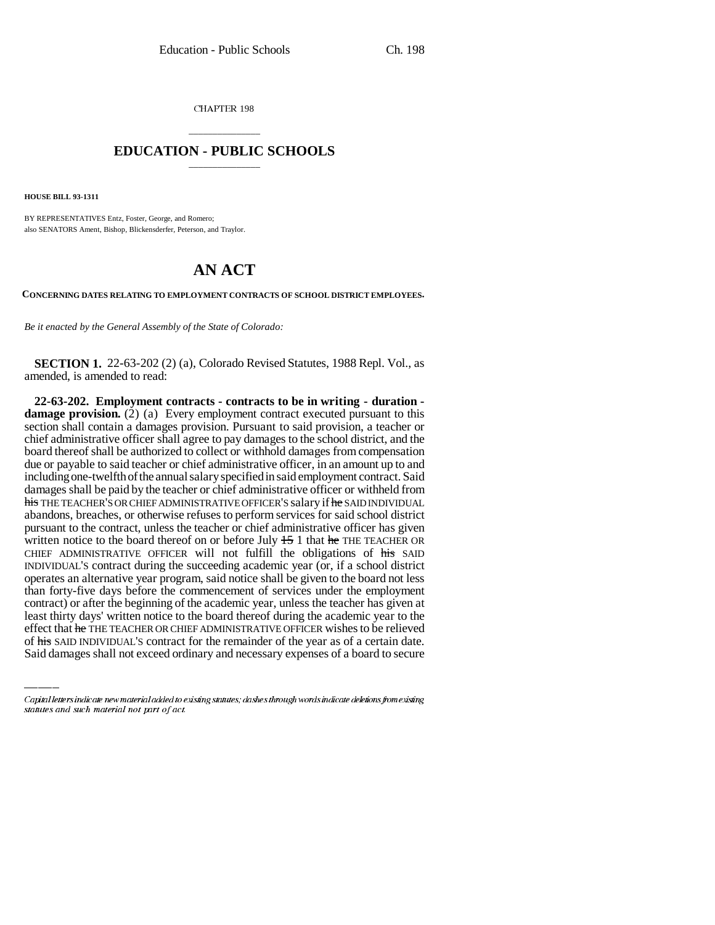CHAPTER 198

## \_\_\_\_\_\_\_\_\_\_\_\_\_\_\_ **EDUCATION - PUBLIC SCHOOLS** \_\_\_\_\_\_\_\_\_\_\_\_\_\_\_

**HOUSE BILL 93-1311**

BY REPRESENTATIVES Entz, Foster, George, and Romero; also SENATORS Ament, Bishop, Blickensderfer, Peterson, and Traylor.

## **AN ACT**

**CONCERNING DATES RELATING TO EMPLOYMENT CONTRACTS OF SCHOOL DISTRICT EMPLOYEES.**

*Be it enacted by the General Assembly of the State of Colorado:*

**SECTION 1.** 22-63-202 (2) (a), Colorado Revised Statutes, 1988 Repl. Vol., as amended, is amended to read:

contract) or after the beginning of the academic year, unless the teacher has given at **22-63-202. Employment contracts - contracts to be in writing - duration damage provision.** (2) (a) Every employment contract executed pursuant to this section shall contain a damages provision. Pursuant to said provision, a teacher or chief administrative officer shall agree to pay damages to the school district, and the board thereof shall be authorized to collect or withhold damages from compensation due or payable to said teacher or chief administrative officer, in an amount up to and including one-twelfth of the annual salary specified in said employment contract. Said damages shall be paid by the teacher or chief administrative officer or withheld from his THE TEACHER'S OR CHIEF ADMINISTRATIVE OFFICER'S salary if he SAID INDIVIDUAL abandons, breaches, or otherwise refuses to perform services for said school district pursuant to the contract, unless the teacher or chief administrative officer has given written notice to the board thereof on or before July  $15$  1 that he THE TEACHER OR CHIEF ADMINISTRATIVE OFFICER will not fulfill the obligations of his SAID INDIVIDUAL'S contract during the succeeding academic year (or, if a school district operates an alternative year program, said notice shall be given to the board not less than forty-five days before the commencement of services under the employment least thirty days' written notice to the board thereof during the academic year to the effect that he THE TEACHER OR CHIEF ADMINISTRATIVE OFFICER wishes to be relieved of his SAID INDIVIDUAL'S contract for the remainder of the year as of a certain date. Said damages shall not exceed ordinary and necessary expenses of a board to secure

Capital letters indicate new material added to existing statutes; dashes through words indicate deletions from existing statutes and such material not part of act.